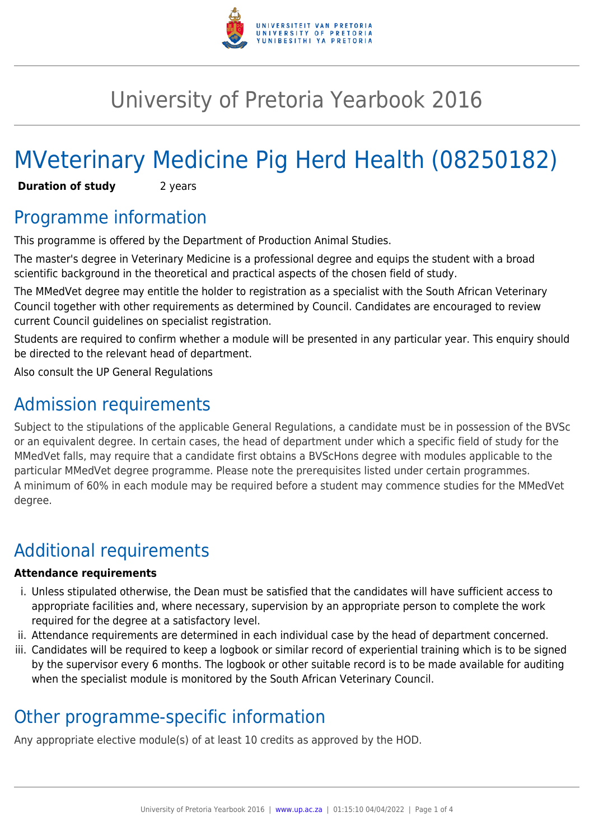

# University of Pretoria Yearbook 2016

# MVeterinary Medicine Pig Herd Health (08250182)

**Duration of study** 2 years

### Programme information

This programme is offered by the Department of Production Animal Studies.

The master's degree in Veterinary Medicine is a professional degree and equips the student with a broad scientific background in the theoretical and practical aspects of the chosen field of study.

The MMedVet degree may entitle the holder to registration as a specialist with the South African Veterinary Council together with other requirements as determined by Council. Candidates are encouraged to review current Council guidelines on specialist registration.

Students are required to confirm whether a module will be presented in any particular year. This enquiry should be directed to the relevant head of department.

Also consult the UP General Regulations

## Admission requirements

Subject to the stipulations of the applicable General Regulations, a candidate must be in possession of the BVSc or an equivalent degree. In certain cases, the head of department under which a specific field of study for the MMedVet falls, may require that a candidate first obtains a BVScHons degree with modules applicable to the particular MMedVet degree programme. Please note the prerequisites listed under certain programmes. A minimum of 60% in each module may be required before a student may commence studies for the MMedVet degree.

# Additional requirements

#### **Attendance requirements**

- i. Unless stipulated otherwise, the Dean must be satisfied that the candidates will have sufficient access to appropriate facilities and, where necessary, supervision by an appropriate person to complete the work required for the degree at a satisfactory level.
- ii. Attendance requirements are determined in each individual case by the head of department concerned.
- iii. Candidates will be required to keep a logbook or similar record of experiential training which is to be signed by the supervisor every 6 months. The logbook or other suitable record is to be made available for auditing when the specialist module is monitored by the South African Veterinary Council.

## Other programme-specific information

Any appropriate elective module(s) of at least 10 credits as approved by the HOD.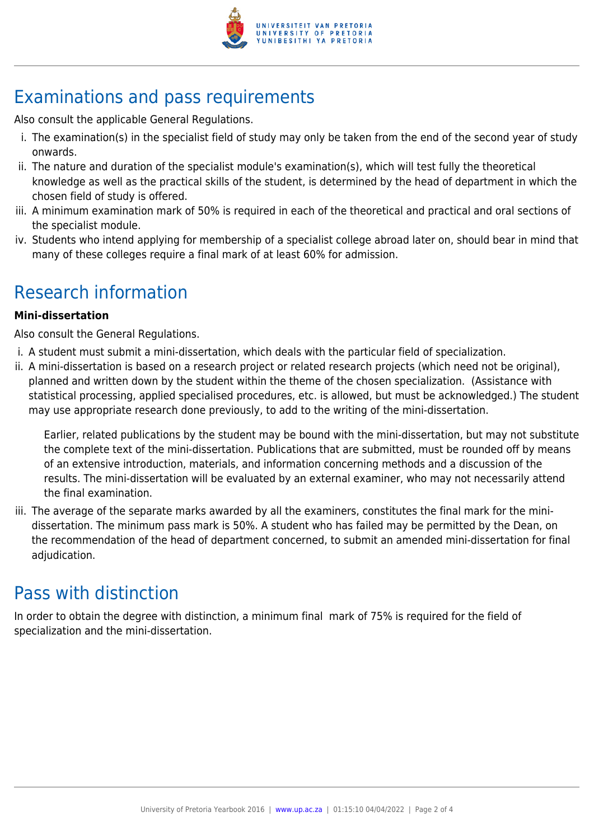

# Examinations and pass requirements

Also consult the applicable General Regulations.

- i. The examination(s) in the specialist field of study may only be taken from the end of the second year of study onwards.
- ii. The nature and duration of the specialist module's examination(s), which will test fully the theoretical knowledge as well as the practical skills of the student, is determined by the head of department in which the chosen field of study is offered.
- iii. A minimum examination mark of 50% is required in each of the theoretical and practical and oral sections of the specialist module.
- iv. Students who intend applying for membership of a specialist college abroad later on, should bear in mind that many of these colleges require a final mark of at least 60% for admission.

### Research information

#### **Mini-dissertation**

Also consult the General Regulations.

- i. A student must submit a mini-dissertation, which deals with the particular field of specialization.
- ii. A mini-dissertation is based on a research project or related research projects (which need not be original), planned and written down by the student within the theme of the chosen specialization. (Assistance with statistical processing, applied specialised procedures, etc. is allowed, but must be acknowledged.) The student may use appropriate research done previously, to add to the writing of the mini-dissertation.

Earlier, related publications by the student may be bound with the mini-dissertation, but may not substitute the complete text of the mini-dissertation. Publications that are submitted, must be rounded off by means of an extensive introduction, materials, and information concerning methods and a discussion of the results. The mini-dissertation will be evaluated by an external examiner, who may not necessarily attend the final examination.

iii. The average of the separate marks awarded by all the examiners, constitutes the final mark for the minidissertation. The minimum pass mark is 50%. A student who has failed may be permitted by the Dean, on the recommendation of the head of department concerned, to submit an amended mini-dissertation for final adjudication.

### Pass with distinction

In order to obtain the degree with distinction, a minimum final mark of 75% is required for the field of specialization and the mini-dissertation.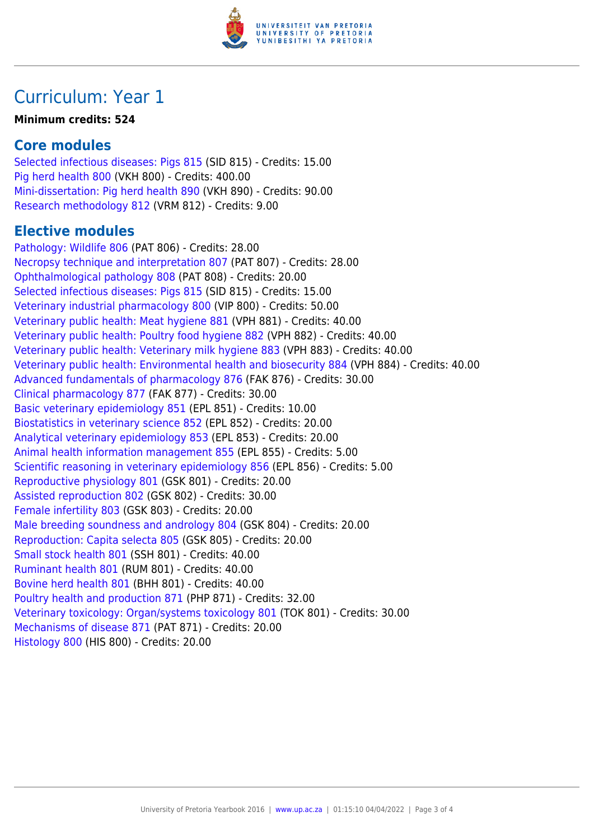

### Curriculum: Year 1

#### **Minimum credits: 524**

#### **Core modules**

[Selected infectious diseases: Pigs 815](https://www.up.ac.za/yearbooks/2016/modules/view/SID 815) (SID 815) - Credits: 15.00 [Pig herd health 800](https://www.up.ac.za/yearbooks/2016/modules/view/VKH 800) (VKH 800) - Credits: 400.00 [Mini-dissertation: Pig herd health 890](https://www.up.ac.za/yearbooks/2016/modules/view/VKH 890) (VKH 890) - Credits: 90.00 [Research methodology 812](https://www.up.ac.za/yearbooks/2016/modules/view/VRM 812) (VRM 812) - Credits: 9.00

#### **Elective modules**

[Pathology: Wildlife 806](https://www.up.ac.za/yearbooks/2016/modules/view/PAT 806) (PAT 806) - Credits: 28.00 [Necropsy technique and interpretation 807](https://www.up.ac.za/yearbooks/2016/modules/view/PAT 807) (PAT 807) - Credits: 28.00 [Ophthalmological pathology 808](https://www.up.ac.za/yearbooks/2016/modules/view/PAT 808) (PAT 808) - Credits: 20.00 [Selected infectious diseases: Pigs 815](https://www.up.ac.za/yearbooks/2016/modules/view/SID 815) (SID 815) - Credits: 15.00 [Veterinary industrial pharmacology 800](https://www.up.ac.za/yearbooks/2016/modules/view/VIP 800) (VIP 800) - Credits: 50.00 [Veterinary public health: Meat hygiene 881](https://www.up.ac.za/yearbooks/2016/modules/view/VPH 881) (VPH 881) - Credits: 40.00 [Veterinary public health: Poultry food hygiene 882](https://www.up.ac.za/yearbooks/2016/modules/view/VPH 882) (VPH 882) - Credits: 40.00 [Veterinary public health: Veterinary milk hygiene 883](https://www.up.ac.za/yearbooks/2016/modules/view/VPH 883) (VPH 883) - Credits: 40.00 [Veterinary public health: Environmental health and biosecurity 884](https://www.up.ac.za/yearbooks/2016/modules/view/VPH 884) (VPH 884) - Credits: 40.00 [Advanced fundamentals of pharmacology 876](https://www.up.ac.za/yearbooks/2016/modules/view/FAK 876) (FAK 876) - Credits: 30.00 [Clinical pharmacology 877](https://www.up.ac.za/yearbooks/2016/modules/view/FAK 877) (FAK 877) - Credits: 30.00 [Basic veterinary epidemiology 851](https://www.up.ac.za/yearbooks/2016/modules/view/EPL 851) (EPL 851) - Credits: 10.00 [Biostatistics in veterinary science 852](https://www.up.ac.za/yearbooks/2016/modules/view/EPL 852) (EPL 852) - Credits: 20.00 [Analytical veterinary epidemiology 853](https://www.up.ac.za/yearbooks/2016/modules/view/EPL 853) (EPL 853) - Credits: 20.00 [Animal health information management 855](https://www.up.ac.za/yearbooks/2016/modules/view/EPL 855) (EPL 855) - Credits: 5.00 [Scientific reasoning in veterinary epidemiology 856](https://www.up.ac.za/yearbooks/2016/modules/view/EPL 856) (EPL 856) - Credits: 5.00 [Reproductive physiology 801](https://www.up.ac.za/yearbooks/2016/modules/view/GSK 801) (GSK 801) - Credits: 20.00 [Assisted reproduction 802](https://www.up.ac.za/yearbooks/2016/modules/view/GSK 802) (GSK 802) - Credits: 30.00 [Female infertility 803](https://www.up.ac.za/yearbooks/2016/modules/view/GSK 803) (GSK 803) - Credits: 20.00 [Male breeding soundness and andrology 804](https://www.up.ac.za/yearbooks/2016/modules/view/GSK 804) (GSK 804) - Credits: 20.00 [Reproduction: Capita selecta 805](https://www.up.ac.za/yearbooks/2016/modules/view/GSK 805) (GSK 805) - Credits: 20.00 [Small stock health 801](https://www.up.ac.za/yearbooks/2016/modules/view/SSH 801) (SSH 801) - Credits: 40.00 [Ruminant health 801](https://www.up.ac.za/yearbooks/2016/modules/view/RUM 801) (RUM 801) - Credits: 40.00 [Bovine herd health 801](https://www.up.ac.za/yearbooks/2016/modules/view/BHH 801) (BHH 801) - Credits: 40.00 [Poultry health and production 871](https://www.up.ac.za/yearbooks/2016/modules/view/PHP 871) (PHP 871) - Credits: 32.00 [Veterinary toxicology: Organ/systems toxicology 801](https://www.up.ac.za/yearbooks/2016/modules/view/TOK 801) (TOK 801) - Credits: 30.00 [Mechanisms of disease 871](https://www.up.ac.za/yearbooks/2016/modules/view/PAT 871) (PAT 871) - Credits: 20.00 [Histology 800](https://www.up.ac.za/yearbooks/2016/modules/view/HIS 800) (HIS 800) - Credits: 20.00